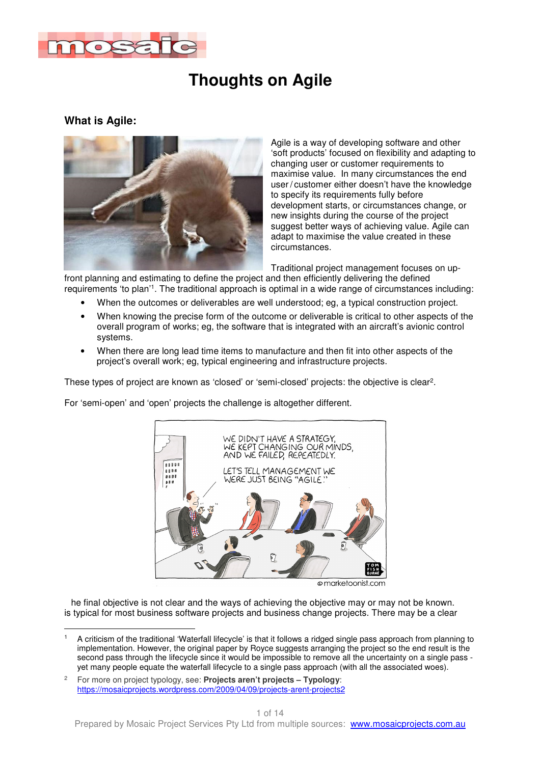

### **What is Agile:**



Agile is a way of developing software and other 'soft products' focused on flexibility and adapting to changing user or customer requirements to maximise value. In many circumstances the end user / customer either doesn't have the knowledge to specify its requirements fully before development starts, or circumstances change, or new insights during the course of the project suggest better ways of achieving value. Agile can adapt to maximise the value created in these circumstances.

Traditional project management focuses on up-

front planning and estimating to define the project and then efficiently delivering the defined requirements 'to plan'<sup>1</sup> . The traditional approach is optimal in a wide range of circumstances including:

- When the outcomes or deliverables are well understood; eg, a typical construction project.
- When knowing the precise form of the outcome or deliverable is critical to other aspects of the overall program of works; eg, the software that is integrated with an aircraft's avionic control systems.
- When there are long lead time items to manufacture and then fit into other aspects of the project's overall work; eg, typical engineering and infrastructure projects.

These types of project are known as 'closed' or 'semi-closed' projects: the objective is clear<sup>2</sup>.

For 'semi-open' and 'open' projects the challenge is altogether different.



· marketoonist.com

 he final objective is not clear and the ways of achieving the objective may or may not be known. is typical for most business software projects and business change projects. There may be a clear

 $\overline{\phantom{a}}$ 1 A criticism of the traditional 'Waterfall lifecycle' is that it follows a ridged single pass approach from planning to implementation. However, the original paper by Royce suggests arranging the project so the end result is the second pass through the lifecycle since it would be impossible to remove all the uncertainty on a single pass yet many people equate the waterfall lifecycle to a single pass approach (with all the associated woes).

 $\overline{2}$  For more on project typology, see: **Projects aren't projects – Typology**: https://mosaicprojects.wordpress.com/2009/04/09/projects-arent-projects2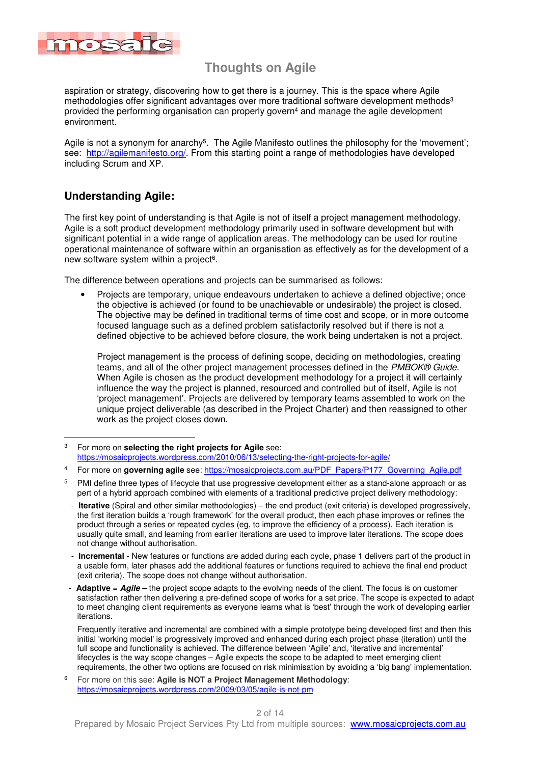

aspiration or strategy, discovering how to get there is a journey. This is the space where Agile methodologies offer significant advantages over more traditional software development methods<sup>3</sup> provided the performing organisation can properly govern<sup>4</sup> and manage the agile development environment.

Agile is not a synonym for anarchy<sup>5</sup>. The Agile Manifesto outlines the philosophy for the 'movement'; see: http://agilemanifesto.org/. From this starting point a range of methodologies have developed including Scrum and XP.

### **Understanding Agile:**

The first key point of understanding is that Agile is not of itself a project management methodology. Agile is a soft product development methodology primarily used in software development but with significant potential in a wide range of application areas. The methodology can be used for routine operational maintenance of software within an organisation as effectively as for the development of a new software system within a project<sup>6</sup>.

The difference between operations and projects can be summarised as follows:

• Projects are temporary, unique endeavours undertaken to achieve a defined objective; once the objective is achieved (or found to be unachievable or undesirable) the project is closed. The objective may be defined in traditional terms of time cost and scope, or in more outcome focused language such as a defined problem satisfactorily resolved but if there is not a defined objective to be achieved before closure, the work being undertaken is not a project.

Project management is the process of defining scope, deciding on methodologies, creating teams, and all of the other project management processes defined in the PMBOK® Guide. When Agile is chosen as the product development methodology for a project it will certainly influence the way the project is planned, resourced and controlled but of itself, Agile is not 'project management'. Projects are delivered by temporary teams assembled to work on the unique project deliverable (as described in the Project Charter) and then reassigned to other work as the project closes down.

 Frequently iterative and incremental are combined with a simple prototype being developed first and then this initial 'working model' is progressively improved and enhanced during each project phase (iteration) until the full scope and functionality is achieved. The difference between 'Agile' and, 'iterative and incremental' lifecycles is the way scope changes – Agile expects the scope to be adapted to meet emerging client requirements, the other two options are focused on risk minimisation by avoiding a 'big bang' implementation.

6 For more on this see: **Agile is NOT a Project Management Methodology**: https://mosaicprojects.wordpress.com/2009/03/05/agile-is-not-pm

<sup>3</sup> 3 For more on **selecting the right projects for Agile** see: https://mosaicprojects.wordpress.com/2010/06/13/selecting-the-right-projects-for-agile/

<sup>4</sup> For more on governing agile see: https://mosaicprojects.com.au/PDF\_Papers/P177\_Governing\_Agile.pdf

<sup>5</sup> PMI define three types of lifecycle that use progressive development either as a stand-alone approach or as pert of a hybrid approach combined with elements of a traditional predictive project delivery methodology:

 <sup>-</sup> **Iterative** (Spiral and other similar methodologies) – the end product (exit criteria) is developed progressively, the first iteration builds a 'rough framework' for the overall product, then each phase improves or refines the product through a series or repeated cycles (eg, to improve the efficiency of a process). Each iteration is usually quite small, and learning from earlier iterations are used to improve later iterations. The scope does not change without authorisation.

 <sup>-</sup> **Incremental** - New features or functions are added during each cycle, phase 1 delivers part of the product in a usable form, later phases add the additional features or functions required to achieve the final end product (exit criteria). The scope does not change without authorisation.

**Adaptive** = **Agile** – the project scope adapts to the evolving needs of the client. The focus is on customer satisfaction rather then delivering a pre-defined scope of works for a set price. The scope is expected to adapt to meet changing client requirements as everyone learns what is 'best' through the work of developing earlier iterations.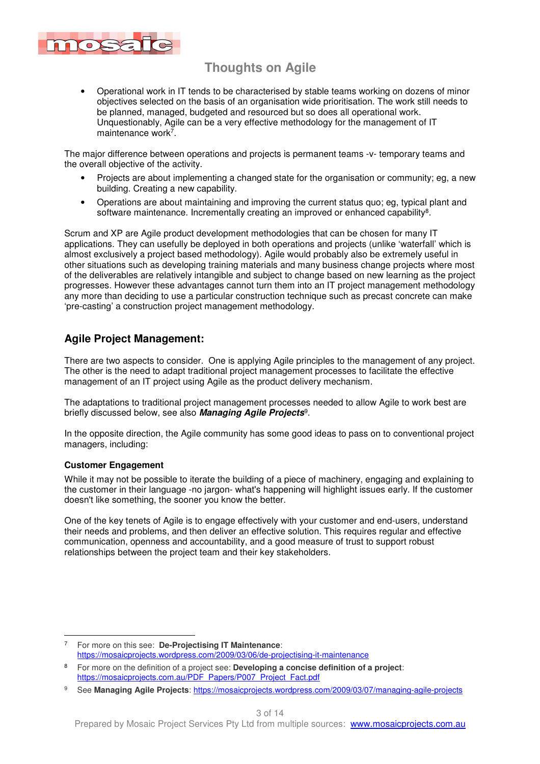

• Operational work in IT tends to be characterised by stable teams working on dozens of minor objectives selected on the basis of an organisation wide prioritisation. The work still needs to be planned, managed, budgeted and resourced but so does all operational work. Unquestionably, Agile can be a very effective methodology for the management of IT maintenance work<sup>7</sup>.

The major difference between operations and projects is permanent teams -v- temporary teams and the overall objective of the activity.

- Projects are about implementing a changed state for the organisation or community; eg, a new building. Creating a new capability.
- Operations are about maintaining and improving the current status quo; eg, typical plant and software maintenance. Incrementally creating an improved or enhanced capability<sup>8</sup>.

Scrum and XP are Agile product development methodologies that can be chosen for many IT applications. They can usefully be deployed in both operations and projects (unlike 'waterfall' which is almost exclusively a project based methodology). Agile would probably also be extremely useful in other situations such as developing training materials and many business change projects where most of the deliverables are relatively intangible and subject to change based on new learning as the project progresses. However these advantages cannot turn them into an IT project management methodology any more than deciding to use a particular construction technique such as precast concrete can make 'pre-casting' a construction project management methodology.

### **Agile Project Management:**

There are two aspects to consider. One is applying Agile principles to the management of any project. The other is the need to adapt traditional project management processes to facilitate the effective management of an IT project using Agile as the product delivery mechanism.

The adaptations to traditional project management processes needed to allow Agile to work best are briefly discussed below, see also **Managing Agile Projects**<sup>9</sup> .

In the opposite direction, the Agile community has some good ideas to pass on to conventional project managers, including:

#### **Customer Engagement**

While it may not be possible to iterate the building of a piece of machinery, engaging and explaining to the customer in their language -no jargon- what's happening will highlight issues early. If the customer doesn't like something, the sooner you know the better.

One of the key tenets of Agile is to engage effectively with your customer and end-users, understand their needs and problems, and then deliver an effective solution. This requires regular and effective communication, openness and accountability, and a good measure of trust to support robust relationships between the project team and their key stakeholders.

 7 For more on this see: **De-Projectising IT Maintenance**: https://mosaicprojects.wordpress.com/2009/03/06/de-projectising-it-maintenance

<sup>8</sup> For more on the definition of a project see: **Developing a concise definition of a project**: https://mosaicprojects.com.au/PDF\_Papers/P007\_Project\_Fact.pdf

<sup>9</sup> See **Managing Agile Projects**: https://mosaicprojects.wordpress.com/2009/03/07/managing-agile-projects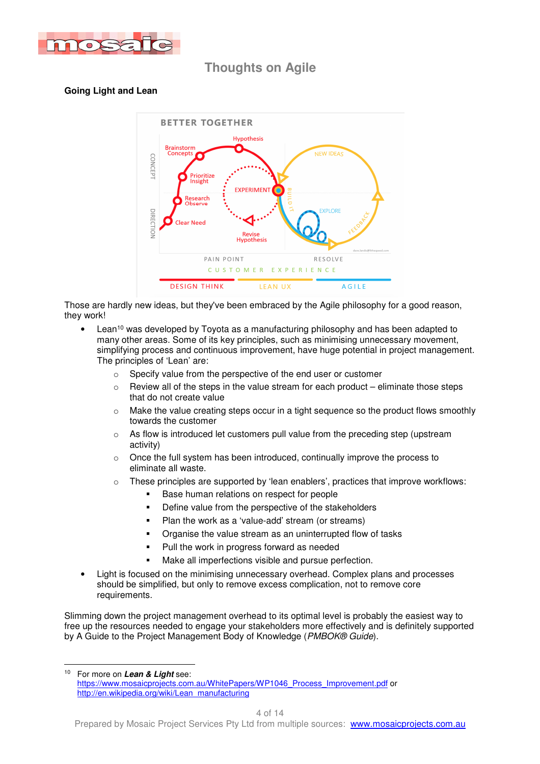

### **Going Light and Lean**



Those are hardly new ideas, but they've been embraced by the Agile philosophy for a good reason, they work!

- Lean<sup>10</sup> was developed by Toyota as a manufacturing philosophy and has been adapted to many other areas. Some of its key principles, such as minimising unnecessary movement, simplifying process and continuous improvement, have huge potential in project management. The principles of 'Lean' are:
	- o Specify value from the perspective of the end user or customer
	- $\circ$  Review all of the steps in the value stream for each product eliminate those steps that do not create value
	- $\circ$  Make the value creating steps occur in a tight sequence so the product flows smoothly towards the customer
	- $\circ$  As flow is introduced let customers pull value from the preceding step (upstream activity)
	- $\circ$  Once the full system has been introduced, continually improve the process to eliminate all waste.
	- $\circ$  These principles are supported by 'lean enablers', practices that improve workflows:
		- Base human relations on respect for people
		- **•** Define value from the perspective of the stakeholders
		- Plan the work as a 'value-add' stream (or streams)
		- Organise the value stream as an uninterrupted flow of tasks
		- **Pull the work in progress forward as needed**
		- Make all imperfections visible and pursue perfection.
- Light is focused on the minimising unnecessary overhead. Complex plans and processes should be simplified, but only to remove excess complication, not to remove core requirements.

Slimming down the project management overhead to its optimal level is probably the easiest way to free up the resources needed to engage your stakeholders more effectively and is definitely supported by A Guide to the Project Management Body of Knowledge (PMBOK® Guide).

 $10$ For more on Lean & Light see: https://www.mosaicprojects.com.au/WhitePapers/WP1046\_Process\_Improvement.pdf or http://en.wikipedia.org/wiki/Lean\_manufacturing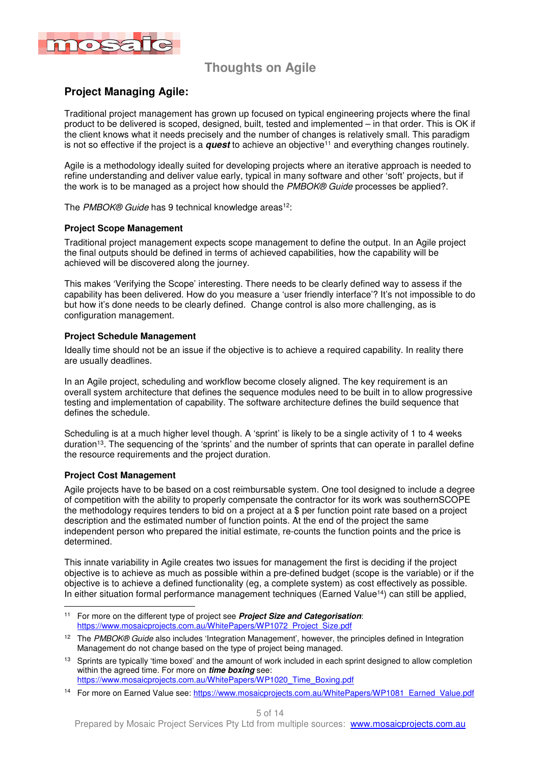

### **Project Managing Agile:**

Traditional project management has grown up focused on typical engineering projects where the final product to be delivered is scoped, designed, built, tested and implemented – in that order. This is OK if the client knows what it needs precisely and the number of changes is relatively small. This paradigm is not so effective if the project is a **quest** to achieve an objective<sup>11</sup> and everything changes routinely.

Agile is a methodology ideally suited for developing projects where an iterative approach is needed to refine understanding and deliver value early, typical in many software and other 'soft' projects, but if the work is to be managed as a project how should the PMBOK® Guide processes be applied?.

The PMBOK® Guide has 9 technical knowledge areas<sup>12</sup>:

#### **Project Scope Management**

Traditional project management expects scope management to define the output. In an Agile project the final outputs should be defined in terms of achieved capabilities, how the capability will be achieved will be discovered along the journey.

This makes 'Verifying the Scope' interesting. There needs to be clearly defined way to assess if the capability has been delivered. How do you measure a 'user friendly interface'? It's not impossible to do but how it's done needs to be clearly defined. Change control is also more challenging, as is configuration management.

#### **Project Schedule Management**

Ideally time should not be an issue if the objective is to achieve a required capability. In reality there are usually deadlines.

In an Agile project, scheduling and workflow become closely aligned. The key requirement is an overall system architecture that defines the sequence modules need to be built in to allow progressive testing and implementation of capability. The software architecture defines the build sequence that defines the schedule.

Scheduling is at a much higher level though. A 'sprint' is likely to be a single activity of 1 to 4 weeks duration<sup>13</sup>. The sequencing of the 'sprints' and the number of sprints that can operate in parallel define the resource requirements and the project duration.

#### **Project Cost Management**

Agile projects have to be based on a cost reimbursable system. One tool designed to include a degree of competition with the ability to properly compensate the contractor for its work was southernSCOPE the methodology requires tenders to bid on a project at a \$ per function point rate based on a project description and the estimated number of function points. At the end of the project the same independent person who prepared the initial estimate, re-counts the function points and the price is determined.

This innate variability in Agile creates two issues for management the first is deciding if the project objective is to achieve as much as possible within a pre-defined budget (scope is the variable) or if the objective is to achieve a defined functionality (eg, a complete system) as cost effectively as possible. In either situation formal performance management techniques (Earned Value<sup>14</sup>) can still be applied,

 <sup>11</sup> For more on the different type of project see **Project Size and Categorisation**: https://www.mosaicprojects.com.au/WhitePapers/WP1072\_Project\_Size.pdf

<sup>&</sup>lt;sup>12</sup> The PMBOK® Guide also includes 'Integration Management', however, the principles defined in Integration Management do not change based on the type of project being managed.

<sup>&</sup>lt;sup>13</sup> Sprints are typically 'time boxed' and the amount of work included in each sprint designed to allow completion within the agreed time. For more on **time boxing** see: https://www.mosaicprojects.com.au/WhitePapers/WP1020\_Time\_Boxing.pdf

<sup>&</sup>lt;sup>14</sup> For more on Earned Value see: https://www.mosaicprojects.com.au/WhitePapers/WP1081\_Earned\_Value.pdf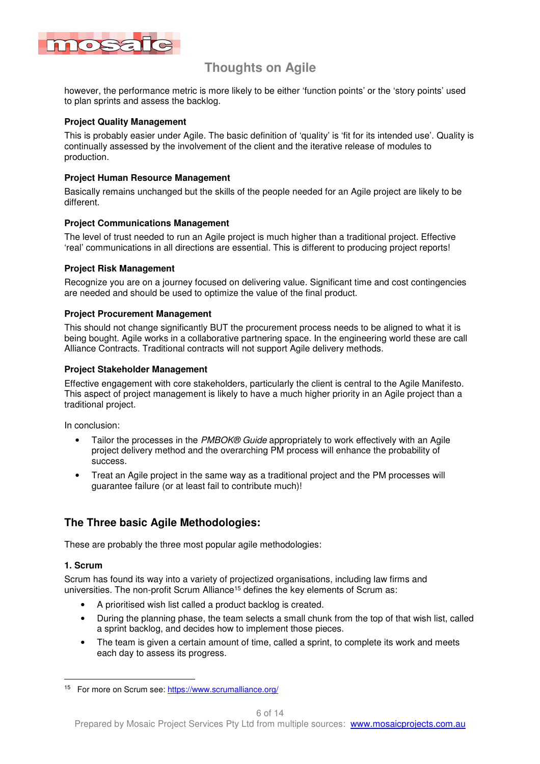

however, the performance metric is more likely to be either 'function points' or the 'story points' used to plan sprints and assess the backlog.

#### **Project Quality Management**

This is probably easier under Agile. The basic definition of 'quality' is 'fit for its intended use'. Quality is continually assessed by the involvement of the client and the iterative release of modules to production.

#### **Project Human Resource Management**

Basically remains unchanged but the skills of the people needed for an Agile project are likely to be different.

#### **Project Communications Management**

The level of trust needed to run an Agile project is much higher than a traditional project. Effective 'real' communications in all directions are essential. This is different to producing project reports!

#### **Project Risk Management**

Recognize you are on a journey focused on delivering value. Significant time and cost contingencies are needed and should be used to optimize the value of the final product.

#### **Project Procurement Management**

This should not change significantly BUT the procurement process needs to be aligned to what it is being bought. Agile works in a collaborative partnering space. In the engineering world these are call Alliance Contracts. Traditional contracts will not support Agile delivery methods.

#### **Project Stakeholder Management**

Effective engagement with core stakeholders, particularly the client is central to the Agile Manifesto. This aspect of project management is likely to have a much higher priority in an Agile project than a traditional project.

In conclusion:

- Tailor the processes in the PMBOK® Guide appropriately to work effectively with an Agile project delivery method and the overarching PM process will enhance the probability of success.
- Treat an Agile project in the same way as a traditional project and the PM processes will guarantee failure (or at least fail to contribute much)!

### **The Three basic Agile Methodologies:**

These are probably the three most popular agile methodologies:

#### **1. Scrum**

Scrum has found its way into a variety of projectized organisations, including law firms and universities. The non-profit Scrum Alliance<sup>15</sup> defines the key elements of Scrum as:

- A prioritised wish list called a product backlog is created.
- During the planning phase, the team selects a small chunk from the top of that wish list, called a sprint backlog, and decides how to implement those pieces.
- The team is given a certain amount of time, called a sprint, to complete its work and meets each day to assess its progress.

<sup>&</sup>lt;sup>15</sup> For more on Scrum see: https://www.scrumalliance.org/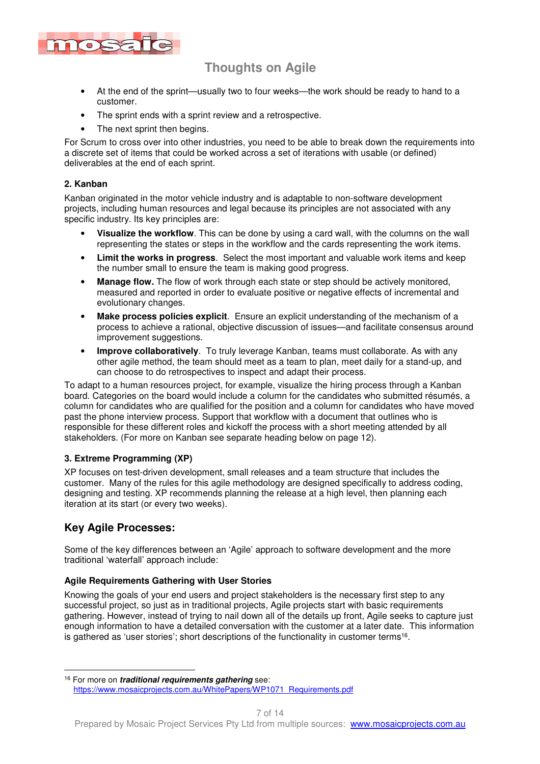

- At the end of the sprint—usually two to four weeks—the work should be ready to hand to a customer.
- The sprint ends with a sprint review and a retrospective.
- The next sprint then begins.

For Scrum to cross over into other industries, you need to be able to break down the requirements into a discrete set of items that could be worked across a set of iterations with usable (or defined) deliverables at the end of each sprint.

#### **2. Kanban**

Kanban originated in the motor vehicle industry and is adaptable to non-software development projects, including human resources and legal because its principles are not associated with any specific industry. Its key principles are:

- **Visualize the workflow**. This can be done by using a card wall, with the columns on the wall representing the states or steps in the workflow and the cards representing the work items.
- **Limit the works in progress**. Select the most important and valuable work items and keep the number small to ensure the team is making good progress.
- **Manage flow.** The flow of work through each state or step should be actively monitored, measured and reported in order to evaluate positive or negative effects of incremental and evolutionary changes.
- **Make process policies explicit**. Ensure an explicit understanding of the mechanism of a process to achieve a rational, objective discussion of issues—and facilitate consensus around improvement suggestions.
- **Improve collaboratively**. To truly leverage Kanban, teams must collaborate. As with any other agile method, the team should meet as a team to plan, meet daily for a stand-up, and can choose to do retrospectives to inspect and adapt their process.

To adapt to a human resources project, for example, visualize the hiring process through a Kanban board. Categories on the board would include a column for the candidates who submitted résumés, a column for candidates who are qualified for the position and a column for candidates who have moved past the phone interview process. Support that workflow with a document that outlines who is responsible for these different roles and kickoff the process with a short meeting attended by all stakeholders. (For more on Kanban see separate heading below on page 12).

#### **3. Extreme Programming (XP)**

XP focuses on test-driven development, small releases and a team structure that includes the customer. Many of the rules for this agile methodology are designed specifically to address coding, designing and testing. XP recommends planning the release at a high level, then planning each iteration at its start (or every two weeks).

### **Key Agile Processes:**

Some of the key differences between an 'Agile' approach to software development and the more traditional 'waterfall' approach include:

#### **Agile Requirements Gathering with User Stories**

Knowing the goals of your end users and project stakeholders is the necessary first step to any successful project, so just as in traditional projects, Agile projects start with basic requirements gathering. However, instead of trying to nail down all of the details up front, Agile seeks to capture just enough information to have a detailed conversation with the customer at a later date. This information is gathered as 'user stories'; short descriptions of the functionality in customer terms<sup>16</sup>.

 <sup>16</sup> For more on **traditional requirements gathering** see: https://www.mosaicprojects.com.au/WhitePapers/WP1071\_Requirements.pdf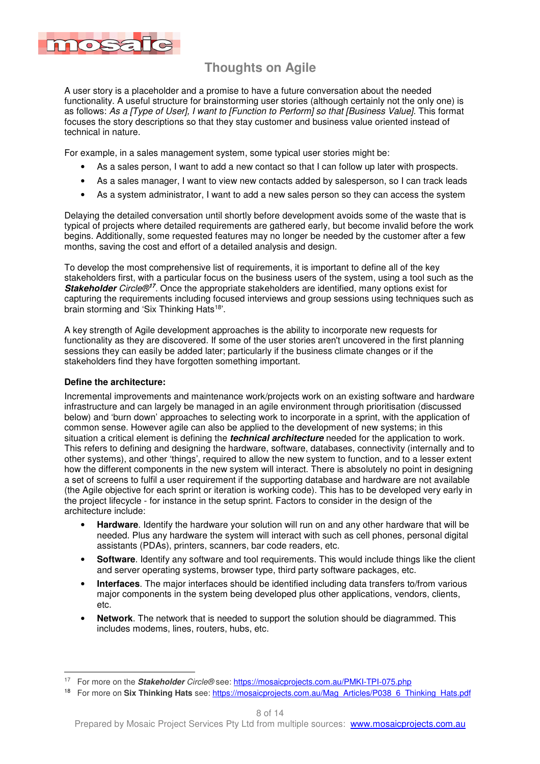

A user story is a placeholder and a promise to have a future conversation about the needed functionality. A useful structure for brainstorming user stories (although certainly not the only one) is as follows: As a [Type of User], I want to [Function to Perform] so that [Business Value]. This format focuses the story descriptions so that they stay customer and business value oriented instead of technical in nature.

For example, in a sales management system, some typical user stories might be:

- As a sales person, I want to add a new contact so that I can follow up later with prospects.
- As a sales manager, I want to view new contacts added by salesperson, so I can track leads
- As a system administrator, I want to add a new sales person so they can access the system

Delaying the detailed conversation until shortly before development avoids some of the waste that is typical of projects where detailed requirements are gathered early, but become invalid before the work begins. Additionally, some requested features may no longer be needed by the customer after a few months, saving the cost and effort of a detailed analysis and design.

To develop the most comprehensive list of requirements, it is important to define all of the key stakeholders first, with a particular focus on the business users of the system, using a tool such as the **Stakeholder** Circle®**<sup>17</sup>** . Once the appropriate stakeholders are identified, many options exist for capturing the requirements including focused interviews and group sessions using techniques such as brain storming and 'Six Thinking Hats<sup>18'</sup>.

A key strength of Agile development approaches is the ability to incorporate new requests for functionality as they are discovered. If some of the user stories aren't uncovered in the first planning sessions they can easily be added later; particularly if the business climate changes or if the stakeholders find they have forgotten something important.

#### **Define the architecture:**

Incremental improvements and maintenance work/projects work on an existing software and hardware infrastructure and can largely be managed in an agile environment through prioritisation (discussed below) and 'burn down' approaches to selecting work to incorporate in a sprint, with the application of common sense. However agile can also be applied to the development of new systems; in this situation a critical element is defining the **technical architecture** needed for the application to work. This refers to defining and designing the hardware, software, databases, connectivity (internally and to other systems), and other 'things', required to allow the new system to function, and to a lesser extent how the different components in the new system will interact. There is absolutely no point in designing a set of screens to fulfil a user requirement if the supporting database and hardware are not available (the Agile objective for each sprint or iteration is working code). This has to be developed very early in the project lifecycle - for instance in the setup sprint. Factors to consider in the design of the architecture include:

- **Hardware**. Identify the hardware your solution will run on and any other hardware that will be needed. Plus any hardware the system will interact with such as cell phones, personal digital assistants (PDAs), printers, scanners, bar code readers, etc.
- **Software**. Identify any software and tool requirements. This would include things like the client and server operating systems, browser type, third party software packages, etc.
- **Interfaces**. The major interfaces should be identified including data transfers to/from various major components in the system being developed plus other applications, vendors, clients, etc.
- **Network**. The network that is needed to support the solution should be diagrammed. This includes modems, lines, routers, hubs, etc.

 <sup>17</sup> For more on the **Stakeholder** Circle® see: https://mosaicprojects.com.au/PMKI-TPI-075.php

<sup>&</sup>lt;sup>18</sup> For more on Six Thinking Hats see: https://mosaicprojects.com.au/Mag\_Articles/P038\_6\_Thinking\_Hats.pdf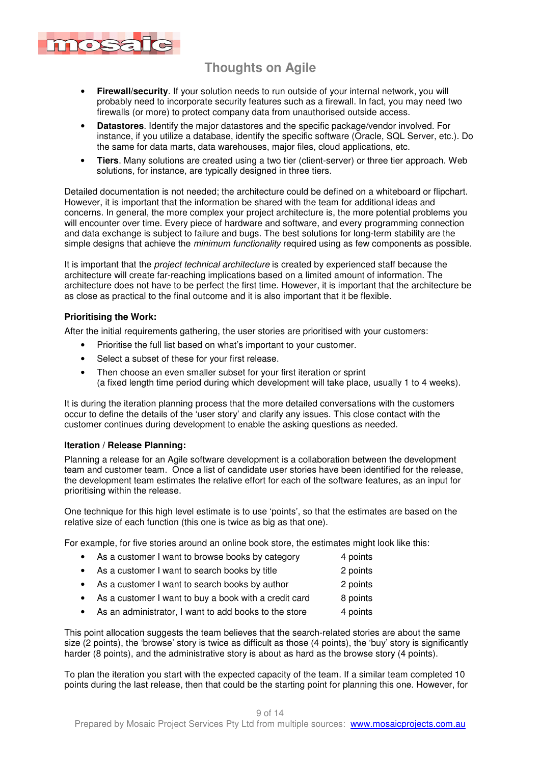

- **Firewall/security**. If your solution needs to run outside of your internal network, you will probably need to incorporate security features such as a firewall. In fact, you may need two firewalls (or more) to protect company data from unauthorised outside access.
- **Datastores**. Identify the major datastores and the specific package/vendor involved. For instance, if you utilize a database, identify the specific software (Oracle, SQL Server, etc.). Do the same for data marts, data warehouses, major files, cloud applications, etc.
- **Tiers**. Many solutions are created using a two tier (client-server) or three tier approach. Web solutions, for instance, are typically designed in three tiers.

Detailed documentation is not needed; the architecture could be defined on a whiteboard or flipchart. However, it is important that the information be shared with the team for additional ideas and concerns. In general, the more complex your project architecture is, the more potential problems you will encounter over time. Every piece of hardware and software, and every programming connection and data exchange is subject to failure and bugs. The best solutions for long-term stability are the simple designs that achieve the *minimum functionality* required using as few components as possible.

It is important that the *project technical architecture* is created by experienced staff because the architecture will create far-reaching implications based on a limited amount of information. The architecture does not have to be perfect the first time. However, it is important that the architecture be as close as practical to the final outcome and it is also important that it be flexible.

#### **Prioritising the Work:**

After the initial requirements gathering, the user stories are prioritised with your customers:

- Prioritise the full list based on what's important to your customer.
- Select a subset of these for your first release.
- Then choose an even smaller subset for your first iteration or sprint (a fixed length time period during which development will take place, usually 1 to 4 weeks).

It is during the iteration planning process that the more detailed conversations with the customers occur to define the details of the 'user story' and clarify any issues. This close contact with the customer continues during development to enable the asking questions as needed.

#### **Iteration / Release Planning:**

Planning a release for an Agile software development is a collaboration between the development team and customer team. Once a list of candidate user stories have been identified for the release, the development team estimates the relative effort for each of the software features, as an input for prioritising within the release.

One technique for this high level estimate is to use 'points', so that the estimates are based on the relative size of each function (this one is twice as big as that one).

For example, for five stories around an online book store, the estimates might look like this:

- As a customer I want to browse books by category 4 points
- As a customer I want to search books by title 2 points
- As a customer I want to search books by author 2 points
- As a customer I want to buy a book with a credit card 8 points
- As an administrator, I want to add books to the store 4 points

This point allocation suggests the team believes that the search-related stories are about the same size (2 points), the 'browse' story is twice as difficult as those (4 points), the 'buy' story is significantly harder (8 points), and the administrative story is about as hard as the browse story (4 points).

To plan the iteration you start with the expected capacity of the team. If a similar team completed 10 points during the last release, then that could be the starting point for planning this one. However, for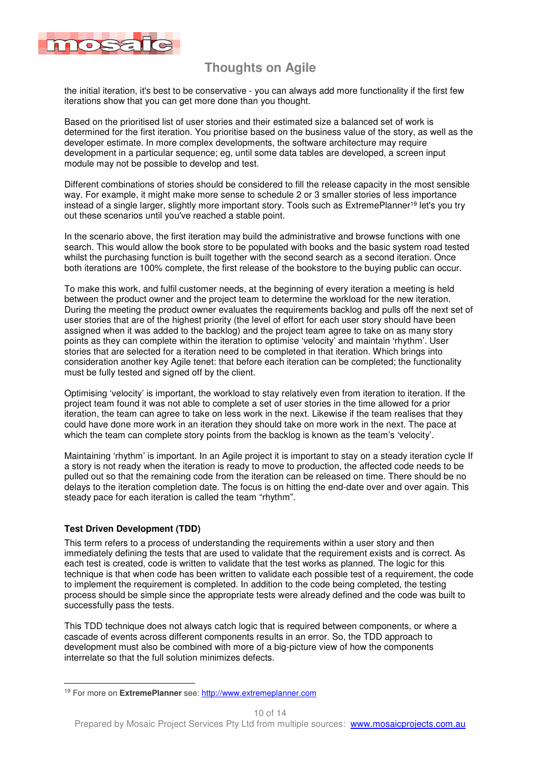

the initial iteration, it's best to be conservative - you can always add more functionality if the first few iterations show that you can get more done than you thought.

Based on the prioritised list of user stories and their estimated size a balanced set of work is determined for the first iteration. You prioritise based on the business value of the story, as well as the developer estimate. In more complex developments, the software architecture may require development in a particular sequence; eg, until some data tables are developed, a screen input module may not be possible to develop and test.

Different combinations of stories should be considered to fill the release capacity in the most sensible way. For example, it might make more sense to schedule 2 or 3 smaller stories of less importance instead of a single larger, slightly more important story. Tools such as ExtremePlanner<sup>19</sup> let's you try out these scenarios until you've reached a stable point.

In the scenario above, the first iteration may build the administrative and browse functions with one search. This would allow the book store to be populated with books and the basic system road tested whilst the purchasing function is built together with the second search as a second iteration. Once both iterations are 100% complete, the first release of the bookstore to the buying public can occur.

To make this work, and fulfil customer needs, at the beginning of every iteration a meeting is held between the product owner and the project team to determine the workload for the new iteration. During the meeting the product owner evaluates the requirements backlog and pulls off the next set of user stories that are of the highest priority (the level of effort for each user story should have been assigned when it was added to the backlog) and the project team agree to take on as many story points as they can complete within the iteration to optimise 'velocity' and maintain 'rhythm'. User stories that are selected for a iteration need to be completed in that iteration. Which brings into consideration another key Agile tenet: that before each iteration can be completed; the functionality must be fully tested and signed off by the client.

Optimising 'velocity' is important, the workload to stay relatively even from iteration to iteration. If the project team found it was not able to complete a set of user stories in the time allowed for a prior iteration, the team can agree to take on less work in the next. Likewise if the team realises that they could have done more work in an iteration they should take on more work in the next. The pace at which the team can complete story points from the backlog is known as the team's 'velocity'.

Maintaining 'rhythm' is important. In an Agile project it is important to stay on a steady iteration cycle If a story is not ready when the iteration is ready to move to production, the affected code needs to be pulled out so that the remaining code from the iteration can be released on time. There should be no delays to the iteration completion date. The focus is on hitting the end-date over and over again. This steady pace for each iteration is called the team "rhythm".

#### **Test Driven Development (TDD)**

This term refers to a process of understanding the requirements within a user story and then immediately defining the tests that are used to validate that the requirement exists and is correct. As each test is created, code is written to validate that the test works as planned. The logic for this technique is that when code has been written to validate each possible test of a requirement, the code to implement the requirement is completed. In addition to the code being completed, the testing process should be simple since the appropriate tests were already defined and the code was built to successfully pass the tests.

This TDD technique does not always catch logic that is required between components, or where a cascade of events across different components results in an error. So, the TDD approach to development must also be combined with more of a big-picture view of how the components interrelate so that the full solution minimizes defects.

<sup>&</sup>lt;sup>19</sup> For more on ExtremePlanner see: http://www.extremeplanner.com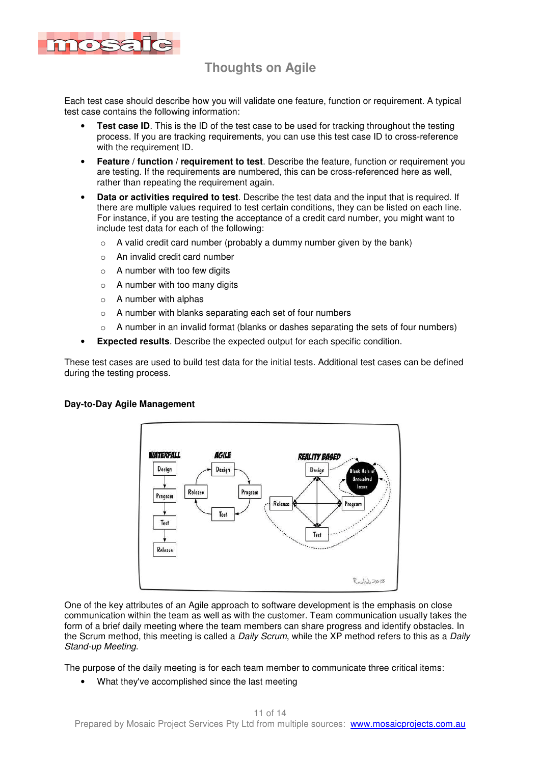

Each test case should describe how you will validate one feature, function or requirement. A typical test case contains the following information:

- **Test case ID.** This is the ID of the test case to be used for tracking throughout the testing process. If you are tracking requirements, you can use this test case ID to cross-reference with the requirement ID.
- **Feature / function / requirement to test**. Describe the feature, function or requirement you are testing. If the requirements are numbered, this can be cross-referenced here as well, rather than repeating the requirement again.
- **Data or activities required to test**. Describe the test data and the input that is required. If there are multiple values required to test certain conditions, they can be listed on each line. For instance, if you are testing the acceptance of a credit card number, you might want to include test data for each of the following:
	- $\circ$  A valid credit card number (probably a dummy number given by the bank)
	- o An invalid credit card number
	- $\circ$  A number with too few digits
	- $\circ$  A number with too many digits
	- $\circ$  A number with alphas
	- o A number with blanks separating each set of four numbers
	- $\circ$  A number in an invalid format (blanks or dashes separating the sets of four numbers)
- **Expected results**. Describe the expected output for each specific condition.

These test cases are used to build test data for the initial tests. Additional test cases can be defined during the testing process.



#### **Day-to-Day Agile Management**

One of the key attributes of an Agile approach to software development is the emphasis on close communication within the team as well as with the customer. Team communication usually takes the form of a brief daily meeting where the team members can share progress and identify obstacles. In the Scrum method, this meeting is called a *Daily Scrum*, while the XP method refers to this as a *Daily* Stand-up Meeting.

The purpose of the daily meeting is for each team member to communicate three critical items:

• What they've accomplished since the last meeting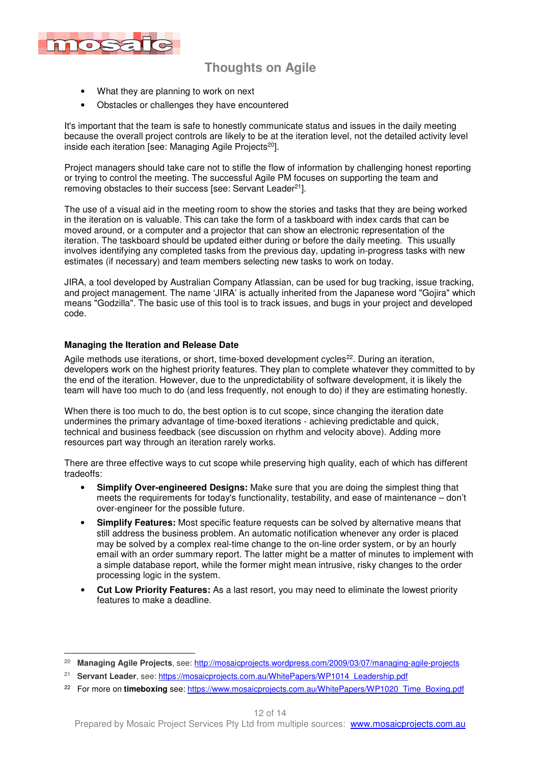

- What they are planning to work on next
- Obstacles or challenges they have encountered

It's important that the team is safe to honestly communicate status and issues in the daily meeting because the overall project controls are likely to be at the iteration level, not the detailed activity level inside each iteration [see: Managing Agile Projects<sup>20</sup>].

Project managers should take care not to stifle the flow of information by challenging honest reporting or trying to control the meeting. The successful Agile PM focuses on supporting the team and removing obstacles to their success [see: Servant Leader<sup>21</sup>].

The use of a visual aid in the meeting room to show the stories and tasks that they are being worked in the iteration on is valuable. This can take the form of a taskboard with index cards that can be moved around, or a computer and a projector that can show an electronic representation of the iteration. The taskboard should be updated either during or before the daily meeting. This usually involves identifying any completed tasks from the previous day, updating in-progress tasks with new estimates (if necessary) and team members selecting new tasks to work on today.

JIRA, a tool developed by Australian Company Atlassian, can be used for bug tracking, issue tracking, and project management. The name 'JIRA' is actually inherited from the Japanese word "Gojira" which means "Godzilla". The basic use of this tool is to track issues, and bugs in your project and developed code.

#### **Managing the Iteration and Release Date**

Agile methods use iterations, or short, time-boxed development cycles<sup>22</sup>. During an iteration, developers work on the highest priority features. They plan to complete whatever they committed to by the end of the iteration. However, due to the unpredictability of software development, it is likely the team will have too much to do (and less frequently, not enough to do) if they are estimating honestly.

When there is too much to do, the best option is to cut scope, since changing the iteration date undermines the primary advantage of time-boxed iterations - achieving predictable and quick, technical and business feedback (see discussion on rhythm and velocity above). Adding more resources part way through an iteration rarely works.

There are three effective ways to cut scope while preserving high quality, each of which has different tradeoffs:

- **Simplify Over-engineered Designs:** Make sure that you are doing the simplest thing that meets the requirements for today's functionality, testability, and ease of maintenance – don't over-engineer for the possible future.
- **Simplify Features:** Most specific feature requests can be solved by alternative means that still address the business problem. An automatic notification whenever any order is placed may be solved by a complex real-time change to the on-line order system, or by an hourly email with an order summary report. The latter might be a matter of minutes to implement with a simple database report, while the former might mean intrusive, risky changes to the order processing logic in the system.
- **Cut Low Priority Features:** As a last resort, you may need to eliminate the lowest priority features to make a deadline.

 20 **Managing Agile Projects**, see: http://mosaicprojects.wordpress.com/2009/03/07/managing-agile-projects

<sup>&</sup>lt;sup>21</sup> Servant Leader, see: https://mosaicprojects.com.au/WhitePapers/WP1014 Leadership.pdf

<sup>&</sup>lt;sup>22</sup> For more on **timeboxing** see: https://www.mosaicprojects.com.au/WhitePapers/WP1020\_Time\_Boxing.pdf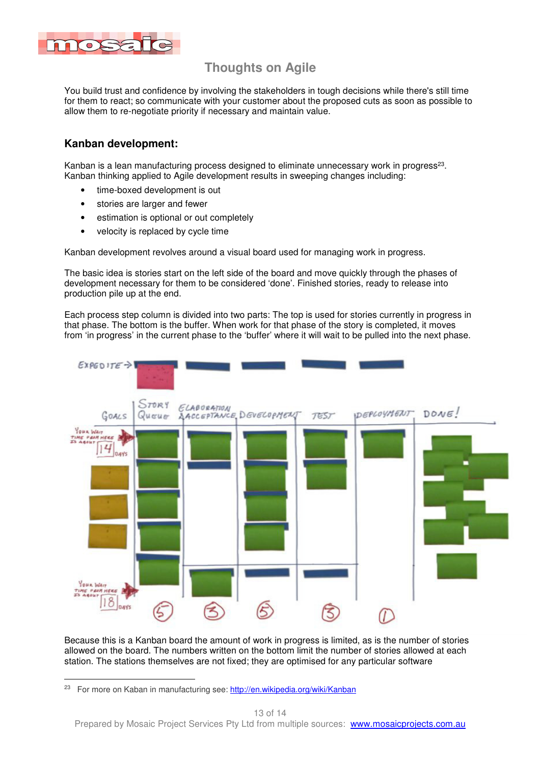

You build trust and confidence by involving the stakeholders in tough decisions while there's still time for them to react; so communicate with your customer about the proposed cuts as soon as possible to allow them to re-negotiate priority if necessary and maintain value.

### **Kanban development:**

Kanban is a lean manufacturing process designed to eliminate unnecessary work in progress<sup>23</sup>. Kanban thinking applied to Agile development results in sweeping changes including:

- time-boxed development is out
- stories are larger and fewer
- estimation is optional or out completely
- velocity is replaced by cycle time

Kanban development revolves around a visual board used for managing work in progress.

The basic idea is stories start on the left side of the board and move quickly through the phases of development necessary for them to be considered 'done'. Finished stories, ready to release into production pile up at the end.

Each process step column is divided into two parts: The top is used for stories currently in progress in that phase. The bottom is the buffer. When work for that phase of the story is completed, it moves from 'in progress' in the current phase to the 'buffer' where it will wait to be pulled into the next phase.



Because this is a Kanban board the amount of work in progress is limited, as is the number of stories allowed on the board. The numbers written on the bottom limit the number of stories allowed at each station. The stations themselves are not fixed; they are optimised for any particular software

<sup>23</sup> For more on Kaban in manufacturing see: http://en.wikipedia.org/wiki/Kanban